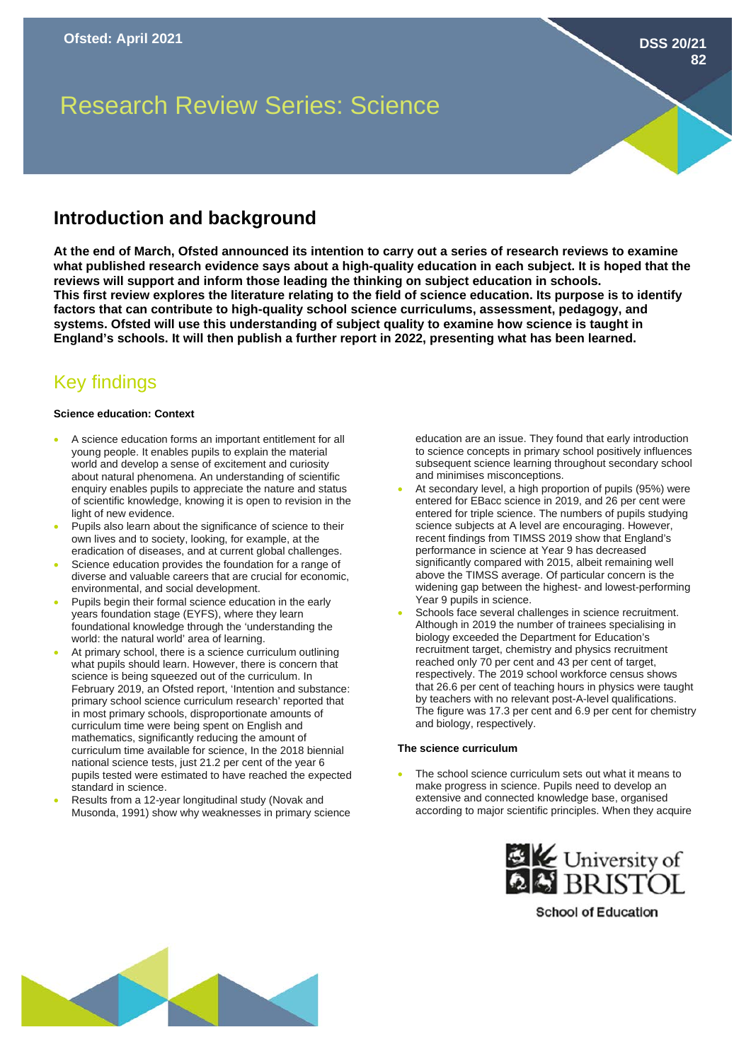**DSS 20/21**

**82**

# Research Review Series: Science

## **Introduction and background**

**At the end of March, Ofsted announced its intention to carry out a series of research reviews to examine what published research evidence says about a high-quality education in each subject. It is hoped that the reviews will support and inform those leading the thinking on subject education in schools. This first review explores the literature relating to the field of science education. Its purpose is to identify factors that can contribute to high-quality school science curriculums, assessment, pedagogy, and systems. Ofsted will use this understanding of subject quality to examine how science is taught in England's schools. It will then publish a further report in 2022, presenting what has been learned.** 

# Key findings

#### **Science education: Context**

- A science education forms an important entitlement for all young people. It enables pupils to explain the material world and develop a sense of excitement and curiosity about natural phenomena. An understanding of scientific enquiry enables pupils to appreciate the nature and status of scientific knowledge, knowing it is open to revision in the light of new evidence.
- Pupils also learn about the significance of science to their own lives and to society, looking, for example, at the eradication of diseases, and at current global challenges.
- Science education provides the foundation for a range of diverse and valuable careers that are crucial for economic, environmental, and social development.
- Pupils begin their formal science education in the early years foundation stage (EYFS), where they learn foundational knowledge through the 'understanding the world: the natural world' area of learning.
- At primary school, there is a science curriculum outlining what pupils should learn. However, there is concern that science is being squeezed out of the curriculum. In February 2019, an Ofsted report, 'Intention and substance: primary school science curriculum research' reported that in most primary schools, disproportionate amounts of curriculum time were being spent on English and mathematics, significantly reducing the amount of curriculum time available for science, In the 2018 biennial national science tests, just 21.2 per cent of the year 6 pupils tested were estimated to have reached the expected standard in science.
- Results from a 12-year longitudinal study (Novak and Musonda, 1991) show why weaknesses in primary science

education are an issue. They found that early introduction to science concepts in primary school positively influences subsequent science learning throughout secondary school and minimises misconceptions.

- At secondary level, a high proportion of pupils (95%) were entered for EBacc science in 2019, and 26 per cent were entered for triple science. The numbers of pupils studying science subjects at A level are encouraging. However, recent findings from TIMSS 2019 show that England's performance in science at Year 9 has decreased significantly compared with 2015, albeit remaining well above the TIMSS average. Of particular concern is the widening gap between the highest- and lowest-performing Year 9 pupils in science.
- Schools face several challenges in science recruitment. Although in 2019 the number of trainees specialising in biology exceeded the Department for Education's recruitment target, chemistry and physics recruitment reached only 70 per cent and 43 per cent of target, respectively. The 2019 school workforce census shows that 26.6 per cent of teaching hours in physics were taught by teachers with no relevant post-A-level qualifications. The figure was 17.3 per cent and 6.9 per cent for chemistry and biology, respectively.

#### **The science curriculum**

The school science curriculum sets out what it means to make progress in science. Pupils need to develop an extensive and connected knowledge base, organised according to major scientific principles. When they acquire



**School of Education**